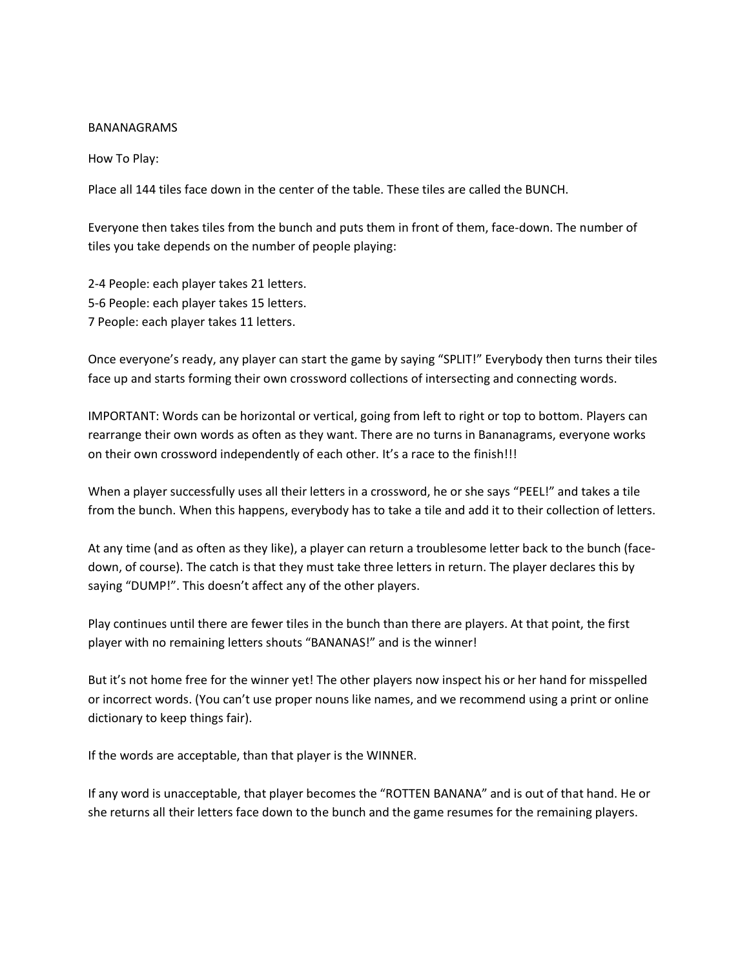#### BANANAGRAMS

How To Play:

Place all 144 tiles face down in the center of the table. These tiles are called the BUNCH.

Everyone then takes tiles from the bunch and puts them in front of them, face-down. The number of tiles you take depends on the number of people playing:

2-4 People: each player takes 21 letters. 5-6 People: each player takes 15 letters. 7 People: each player takes 11 letters.

Once everyone's ready, any player can start the game by saying "SPLIT!" Everybody then turns their tiles face up and starts forming their own crossword collections of intersecting and connecting words.

IMPORTANT: Words can be horizontal or vertical, going from left to right or top to bottom. Players can rearrange their own words as often as they want. There are no turns in Bananagrams, everyone works on their own crossword independently of each other. It's a race to the finish!!!

When a player successfully uses all their letters in a crossword, he or she says "PEEL!" and takes a tile from the bunch. When this happens, everybody has to take a tile and add it to their collection of letters.

At any time (and as often as they like), a player can return a troublesome letter back to the bunch (facedown, of course). The catch is that they must take three letters in return. The player declares this by saying "DUMP!". This doesn't affect any of the other players.

Play continues until there are fewer tiles in the bunch than there are players. At that point, the first player with no remaining letters shouts "BANANAS!" and is the winner!

But it's not home free for the winner yet! The other players now inspect his or her hand for misspelled or incorrect words. (You can't use proper nouns like names, and we recommend using a print or online dictionary to keep things fair).

If the words are acceptable, than that player is the WINNER.

If any word is unacceptable, that player becomes the "ROTTEN BANANA" and is out of that hand. He or she returns all their letters face down to the bunch and the game resumes for the remaining players.